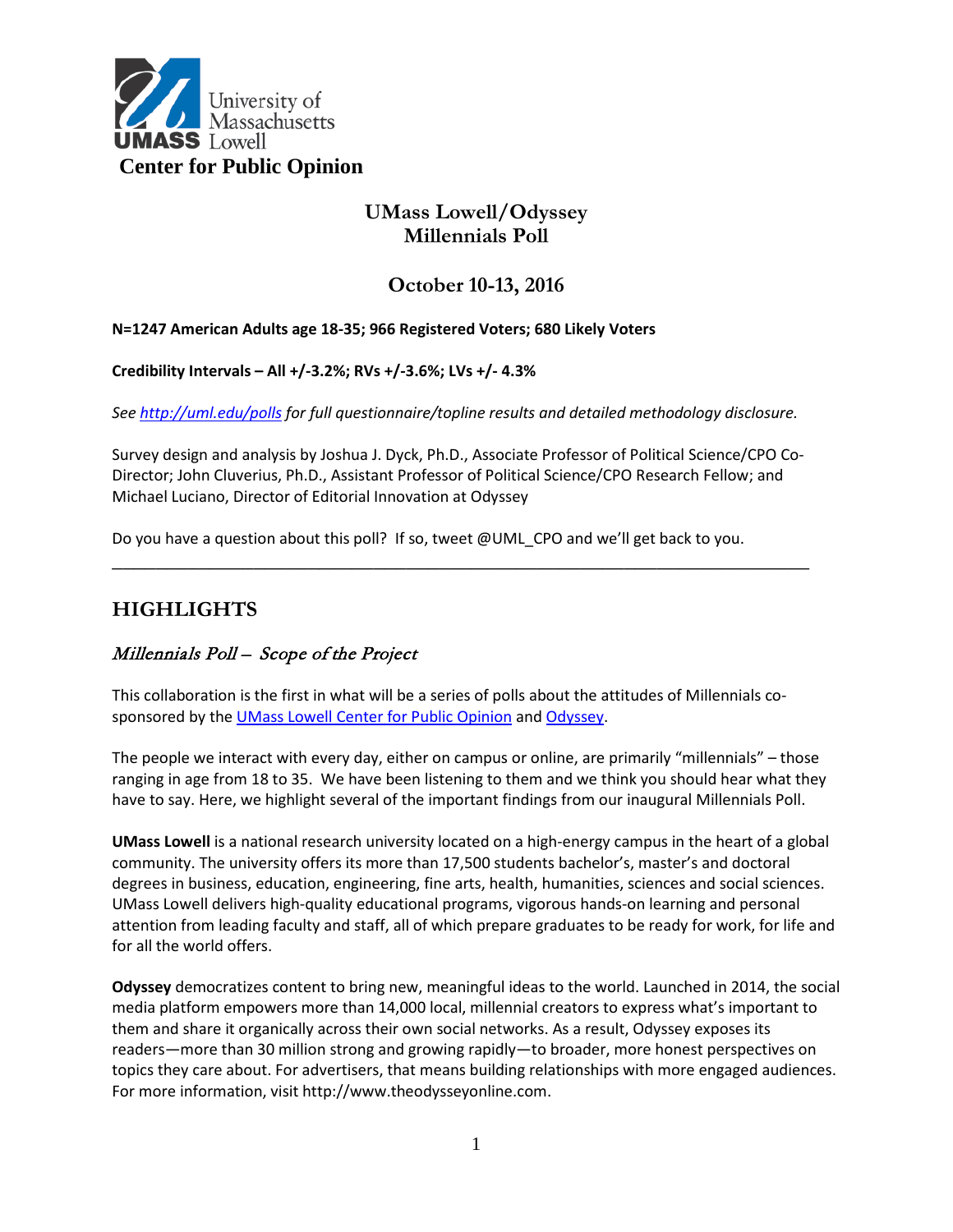

# **UMass Lowell/Odyssey Millennials Poll**

## **October 10-13, 2016**

#### **N=1247 American Adults age 18-35; 966 Registered Voters; 680 Likely Voters**

#### **Credibility Intervals – All +/-3.2%; RVs +/-3.6%; LVs +/- 4.3%**

*See <http://uml.edu/polls> for full questionnaire/topline results and detailed methodology disclosure.*

Survey design and analysis by Joshua J. Dyck, Ph.D., Associate Professor of Political Science/CPO Co-Director; John Cluverius, Ph.D., Assistant Professor of Political Science/CPO Research Fellow; and Michael Luciano, Director of Editorial Innovation at Odyssey

**\_\_\_\_\_\_\_\_\_\_\_\_\_\_\_\_\_\_\_\_\_\_\_\_\_\_\_\_\_\_\_\_\_\_\_\_\_\_\_\_\_\_\_\_\_\_\_\_\_\_\_\_\_\_\_\_\_\_\_\_\_\_\_\_**

Do you have a question about this poll? If so, tweet @UML\_CPO and we'll get back to you.

# **HIGHLIGHTS**

### Millennials Poll – Scope of the Project

This collaboration is the first in what will be a series of polls about the attitudes of Millennials cosponsored by the [UMass Lowell Center for Public Opinion](http://www.uml.edu/polls) and [Odyssey.](https://www.theodysseyonline.com/)

The people we interact with every day, either on campus or online, are primarily "millennials" – those ranging in age from 18 to 35. We have been listening to them and we think you should hear what they have to say. Here, we highlight several of the important findings from our inaugural Millennials Poll.

**UMass Lowell** is a national research university located on a high-energy campus in the heart of a global community. The university offers its more than 17,500 students bachelor's, master's and doctoral degrees in business, education, engineering, fine arts, health, humanities, sciences and social sciences. UMass Lowell delivers high-quality educational programs, vigorous hands-on learning and personal attention from leading faculty and staff, all of which prepare graduates to be ready for work, for life and for all the world offers.

**Odyssey** democratizes content to bring new, meaningful ideas to the world. Launched in 2014, the social media platform empowers more than 14,000 local, millennial creators to express what's important to them and share it organically across their own social networks. As a result, Odyssey exposes its readers—more than 30 million strong and growing rapidly—to broader, more honest perspectives on topics they care about. For advertisers, that means building relationships with more engaged audiences. For more information, visit http://www.theodysseyonline.com.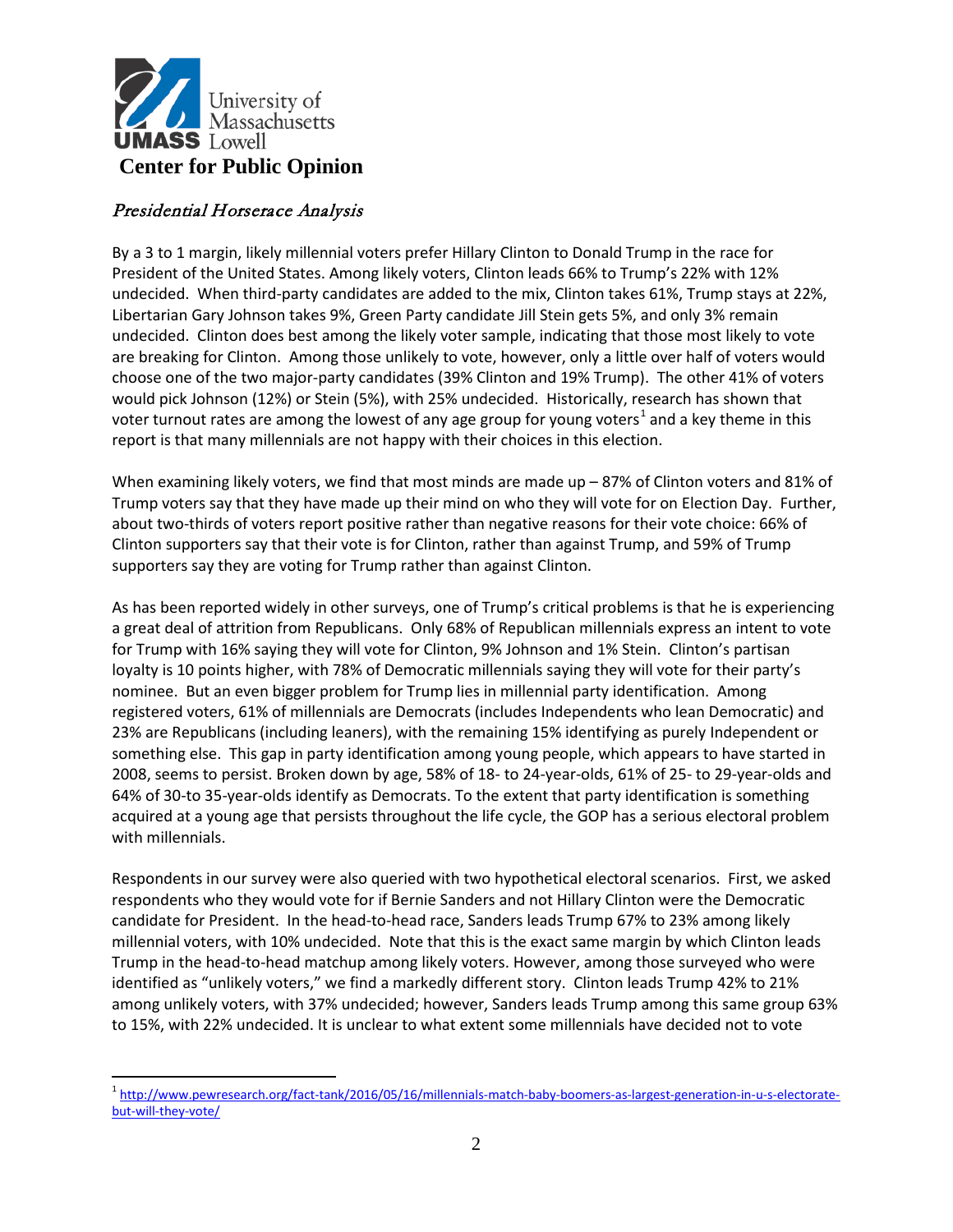

### Presidential Horserace Analysis

By a 3 to 1 margin, likely millennial voters prefer Hillary Clinton to Donald Trump in the race for President of the United States. Among likely voters, Clinton leads 66% to Trump's 22% with 12% undecided. When third-party candidates are added to the mix, Clinton takes 61%, Trump stays at 22%, Libertarian Gary Johnson takes 9%, Green Party candidate Jill Stein gets 5%, and only 3% remain undecided. Clinton does best among the likely voter sample, indicating that those most likely to vote are breaking for Clinton. Among those unlikely to vote, however, only a little over half of voters would choose one of the two major-party candidates (39% Clinton and 19% Trump). The other 41% of voters would pick Johnson (12%) or Stein (5%), with 25% undecided. Historically, research has shown that voter turnout rates are among the lowest of any age group for young voters<sup>1</sup> and a key theme in this report is that many millennials are not happy with their choices in this election.

When examining likely voters, we find that most minds are made up – 87% of Clinton voters and 81% of Trump voters say that they have made up their mind on who they will vote for on Election Day. Further, about two-thirds of voters report positive rather than negative reasons for their vote choice: 66% of Clinton supporters say that their vote is for Clinton, rather than against Trump, and 59% of Trump supporters say they are voting for Trump rather than against Clinton.

As has been reported widely in other surveys, one of Trump's critical problems is that he is experiencing a great deal of attrition from Republicans. Only 68% of Republican millennials express an intent to vote for Trump with 16% saying they will vote for Clinton, 9% Johnson and 1% Stein. Clinton's partisan loyalty is 10 points higher, with 78% of Democratic millennials saying they will vote for their party's nominee. But an even bigger problem for Trump lies in millennial party identification. Among registered voters, 61% of millennials are Democrats (includes Independents who lean Democratic) and 23% are Republicans (including leaners), with the remaining 15% identifying as purely Independent or something else. This gap in party identification among young people, which appears to have started in 2008, seems to persist. Broken down by age, 58% of 18- to 24-year-olds, 61% of 25- to 29-year-olds and 64% of 30-to 35-year-olds identify as Democrats. To the extent that party identification is something acquired at a young age that persists throughout the life cycle, the GOP has a serious electoral problem with millennials.

Respondents in our survey were also queried with two hypothetical electoral scenarios. First, we asked respondents who they would vote for if Bernie Sanders and not Hillary Clinton were the Democratic candidate for President. In the head-to-head race, Sanders leads Trump 67% to 23% among likely millennial voters, with 10% undecided. Note that this is the exact same margin by which Clinton leads Trump in the head-to-head matchup among likely voters. However, among those surveyed who were identified as "unlikely voters," we find a markedly different story. Clinton leads Trump 42% to 21% among unlikely voters, with 37% undecided; however, Sanders leads Trump among this same group 63% to 15%, with 22% undecided. It is unclear to what extent some millennials have decided not to vote

 $\overline{a}$ <sup>1</sup> [http://www.pewresearch.org/fact-tank/2016/05/16/millennials-match-baby-boomers-as-largest-generation-in-u-s-electorate](http://www.pewresearch.org/fact-tank/2016/05/16/millennials-match-baby-boomers-as-largest-generation-in-u-s-electorate-but-will-they-vote/)but-will-they-vote/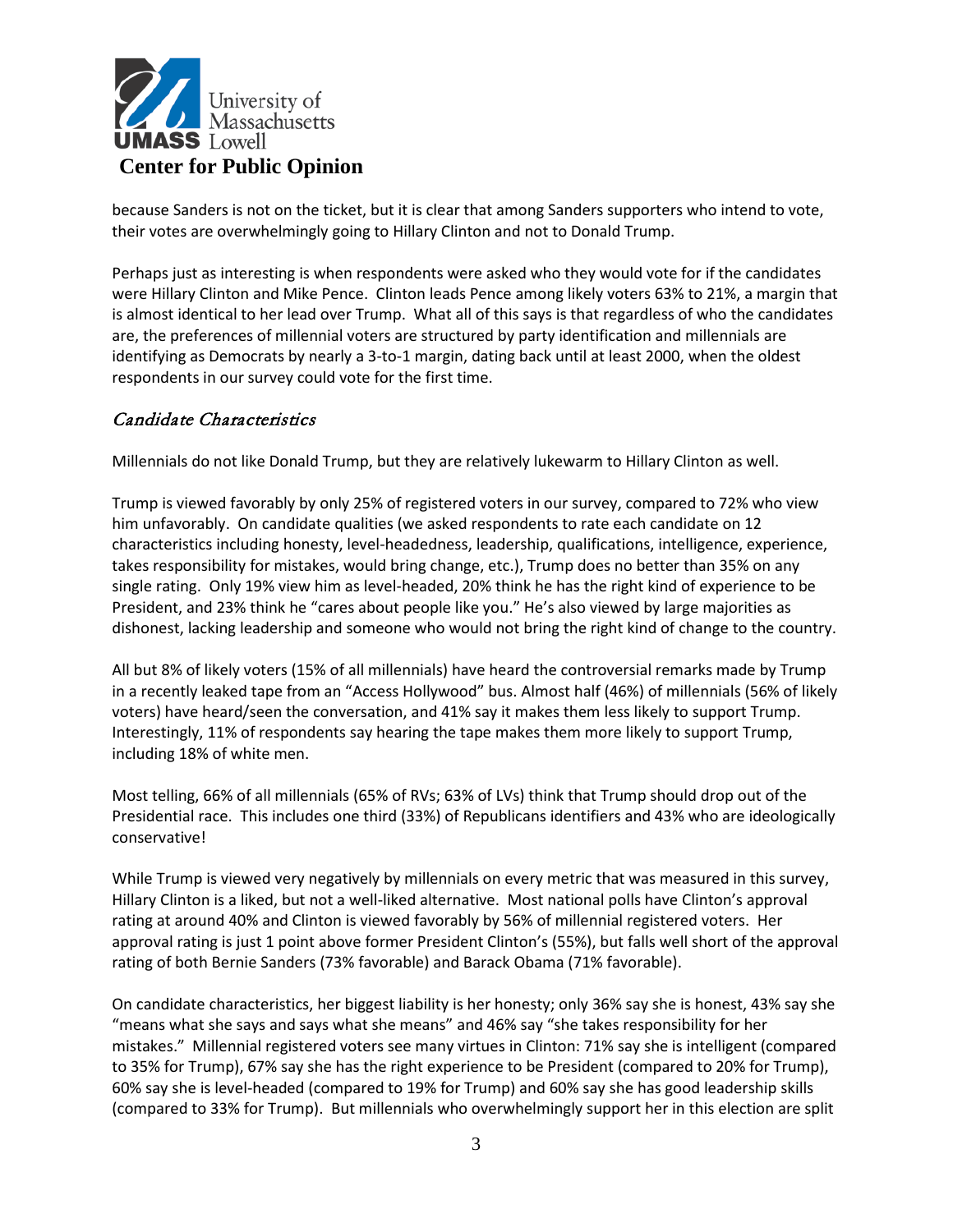

because Sanders is not on the ticket, but it is clear that among Sanders supporters who intend to vote, their votes are overwhelmingly going to Hillary Clinton and not to Donald Trump.

Perhaps just as interesting is when respondents were asked who they would vote for if the candidates were Hillary Clinton and Mike Pence. Clinton leads Pence among likely voters 63% to 21%, a margin that is almost identical to her lead over Trump. What all of this says is that regardless of who the candidates are, the preferences of millennial voters are structured by party identification and millennials are identifying as Democrats by nearly a 3-to-1 margin, dating back until at least 2000, when the oldest respondents in our survey could vote for the first time.

### Candidate Characteristics

Millennials do not like Donald Trump, but they are relatively lukewarm to Hillary Clinton as well.

Trump is viewed favorably by only 25% of registered voters in our survey, compared to 72% who view him unfavorably. On candidate qualities (we asked respondents to rate each candidate on 12 characteristics including honesty, level-headedness, leadership, qualifications, intelligence, experience, takes responsibility for mistakes, would bring change, etc.), Trump does no better than 35% on any single rating. Only 19% view him as level-headed, 20% think he has the right kind of experience to be President, and 23% think he "cares about people like you." He's also viewed by large majorities as dishonest, lacking leadership and someone who would not bring the right kind of change to the country.

All but 8% of likely voters (15% of all millennials) have heard the controversial remarks made by Trump in a recently leaked tape from an "Access Hollywood" bus. Almost half (46%) of millennials (56% of likely voters) have heard/seen the conversation, and 41% say it makes them less likely to support Trump. Interestingly, 11% of respondents say hearing the tape makes them more likely to support Trump, including 18% of white men.

Most telling, 66% of all millennials (65% of RVs; 63% of LVs) think that Trump should drop out of the Presidential race. This includes one third (33%) of Republicans identifiers and 43% who are ideologically conservative!

While Trump is viewed very negatively by millennials on every metric that was measured in this survey, Hillary Clinton is a liked, but not a well-liked alternative. Most national polls have Clinton's approval rating at around 40% and Clinton is viewed favorably by 56% of millennial registered voters. Her approval rating is just 1 point above former President Clinton's (55%), but falls well short of the approval rating of both Bernie Sanders (73% favorable) and Barack Obama (71% favorable).

On candidate characteristics, her biggest liability is her honesty; only 36% say she is honest, 43% say she "means what she says and says what she means" and 46% say "she takes responsibility for her mistakes." Millennial registered voters see many virtues in Clinton: 71% say she is intelligent (compared to 35% for Trump), 67% say she has the right experience to be President (compared to 20% for Trump), 60% say she is level-headed (compared to 19% for Trump) and 60% say she has good leadership skills (compared to 33% for Trump). But millennials who overwhelmingly support her in this election are split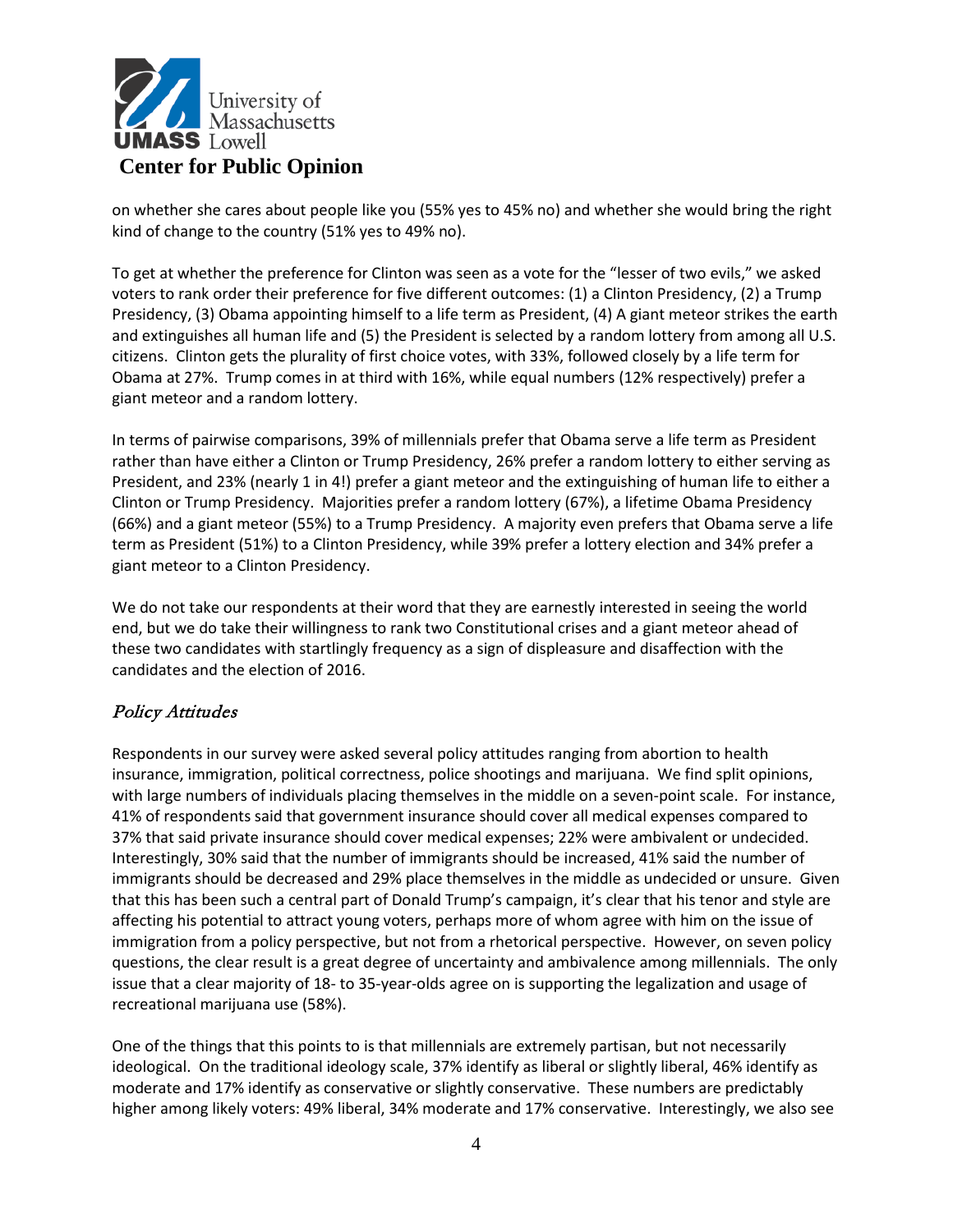

on whether she cares about people like you (55% yes to 45% no) and whether she would bring the right kind of change to the country (51% yes to 49% no).

To get at whether the preference for Clinton was seen as a vote for the "lesser of two evils," we asked voters to rank order their preference for five different outcomes: (1) a Clinton Presidency, (2) a Trump Presidency, (3) Obama appointing himself to a life term as President, (4) A giant meteor strikes the earth and extinguishes all human life and (5) the President is selected by a random lottery from among all U.S. citizens. Clinton gets the plurality of first choice votes, with 33%, followed closely by a life term for Obama at 27%. Trump comes in at third with 16%, while equal numbers (12% respectively) prefer a giant meteor and a random lottery.

In terms of pairwise comparisons, 39% of millennials prefer that Obama serve a life term as President rather than have either a Clinton or Trump Presidency, 26% prefer a random lottery to either serving as President, and 23% (nearly 1 in 4!) prefer a giant meteor and the extinguishing of human life to either a Clinton or Trump Presidency. Majorities prefer a random lottery (67%), a lifetime Obama Presidency (66%) and a giant meteor (55%) to a Trump Presidency. A majority even prefers that Obama serve a life term as President (51%) to a Clinton Presidency, while 39% prefer a lottery election and 34% prefer a giant meteor to a Clinton Presidency.

We do not take our respondents at their word that they are earnestly interested in seeing the world end, but we do take their willingness to rank two Constitutional crises and a giant meteor ahead of these two candidates with startlingly frequency as a sign of displeasure and disaffection with the candidates and the election of 2016.

## Policy Attitudes

Respondents in our survey were asked several policy attitudes ranging from abortion to health insurance, immigration, political correctness, police shootings and marijuana. We find split opinions, with large numbers of individuals placing themselves in the middle on a seven-point scale. For instance, 41% of respondents said that government insurance should cover all medical expenses compared to 37% that said private insurance should cover medical expenses; 22% were ambivalent or undecided. Interestingly, 30% said that the number of immigrants should be increased, 41% said the number of immigrants should be decreased and 29% place themselves in the middle as undecided or unsure. Given that this has been such a central part of Donald Trump's campaign, it's clear that his tenor and style are affecting his potential to attract young voters, perhaps more of whom agree with him on the issue of immigration from a policy perspective, but not from a rhetorical perspective. However, on seven policy questions, the clear result is a great degree of uncertainty and ambivalence among millennials. The only issue that a clear majority of 18- to 35-year-olds agree on is supporting the legalization and usage of recreational marijuana use (58%).

One of the things that this points to is that millennials are extremely partisan, but not necessarily ideological. On the traditional ideology scale, 37% identify as liberal or slightly liberal, 46% identify as moderate and 17% identify as conservative or slightly conservative. These numbers are predictably higher among likely voters: 49% liberal, 34% moderate and 17% conservative. Interestingly, we also see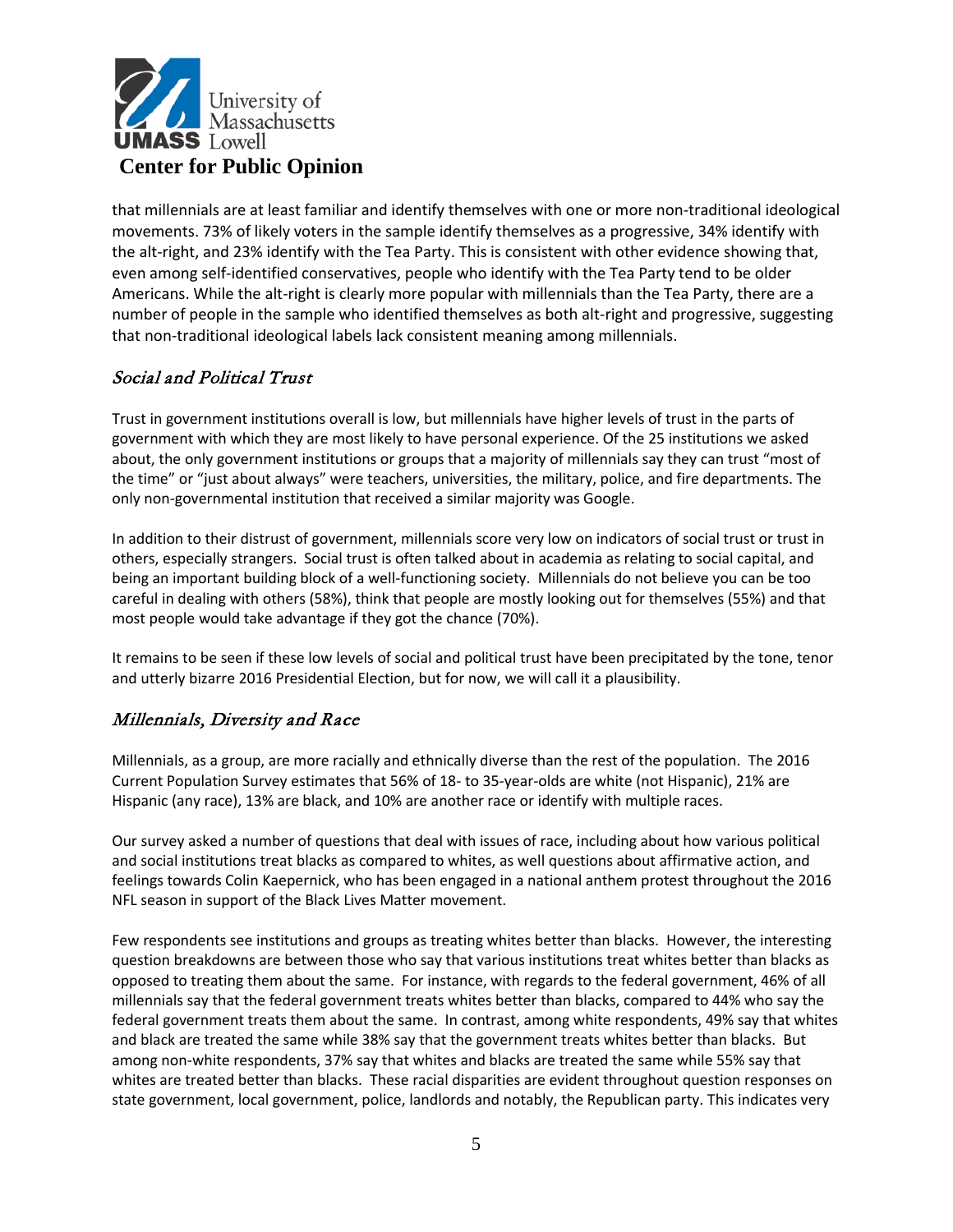

that millennials are at least familiar and identify themselves with one or more non-traditional ideological movements. 73% of likely voters in the sample identify themselves as a progressive, 34% identify with the alt-right, and 23% identify with the Tea Party. This is consistent with other evidence showing that, even among self-identified conservatives, people who identify with the Tea Party tend to be older Americans. While the alt-right is clearly more popular with millennials than the Tea Party, there are a number of people in the sample who identified themselves as both alt-right and progressive, suggesting that non-traditional ideological labels lack consistent meaning among millennials.

### Social and Political Trust

Trust in government institutions overall is low, but millennials have higher levels of trust in the parts of government with which they are most likely to have personal experience. Of the 25 institutions we asked about, the only government institutions or groups that a majority of millennials say they can trust "most of the time" or "just about always" were teachers, universities, the military, police, and fire departments. The only non-governmental institution that received a similar majority was Google.

In addition to their distrust of government, millennials score very low on indicators of social trust or trust in others, especially strangers. Social trust is often talked about in academia as relating to social capital, and being an important building block of a well-functioning society. Millennials do not believe you can be too careful in dealing with others (58%), think that people are mostly looking out for themselves (55%) and that most people would take advantage if they got the chance (70%).

It remains to be seen if these low levels of social and political trust have been precipitated by the tone, tenor and utterly bizarre 2016 Presidential Election, but for now, we will call it a plausibility.

### Millennials, Diversity and Race

Millennials, as a group, are more racially and ethnically diverse than the rest of the population. The 2016 Current Population Survey estimates that 56% of 18- to 35-year-olds are white (not Hispanic), 21% are Hispanic (any race), 13% are black, and 10% are another race or identify with multiple races.

Our survey asked a number of questions that deal with issues of race, including about how various political and social institutions treat blacks as compared to whites, as well questions about affirmative action, and feelings towards Colin Kaepernick, who has been engaged in a national anthem protest throughout the 2016 NFL season in support of the Black Lives Matter movement.

Few respondents see institutions and groups as treating whites better than blacks. However, the interesting question breakdowns are between those who say that various institutions treat whites better than blacks as opposed to treating them about the same. For instance, with regards to the federal government, 46% of all millennials say that the federal government treats whites better than blacks, compared to 44% who say the federal government treats them about the same. In contrast, among white respondents, 49% say that whites and black are treated the same while 38% say that the government treats whites better than blacks. But among non-white respondents, 37% say that whites and blacks are treated the same while 55% say that whites are treated better than blacks. These racial disparities are evident throughout question responses on state government, local government, police, landlords and notably, the Republican party. This indicates very